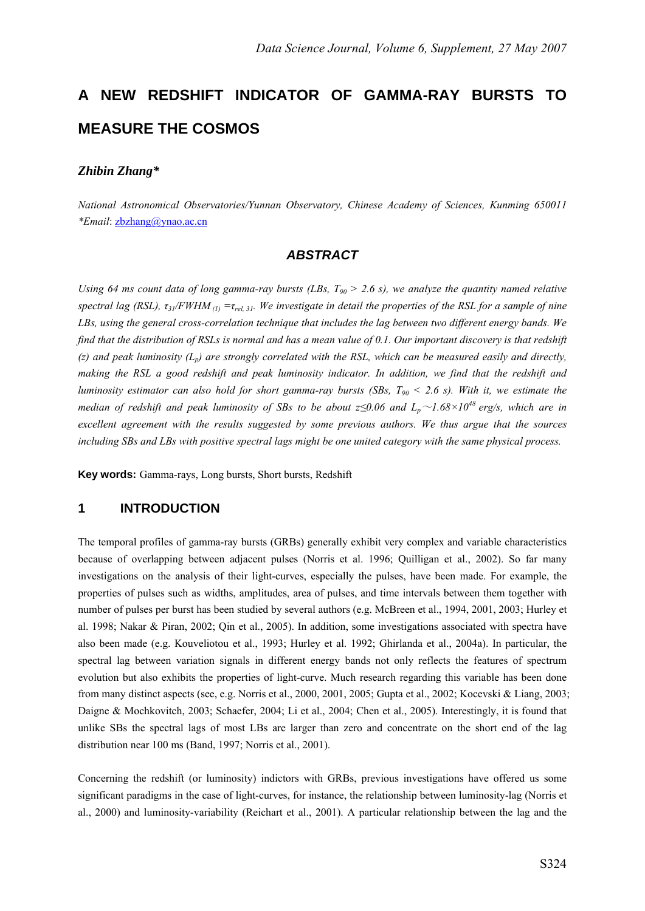# **A NEW REDSHIFT INDICATOR OF GAMMA-RAY BURSTS TO MEASURE THE COSMOS**

#### *Zhibin Zhang\**

*National Astronomical Observatories/Yunnan Observatory, Chinese Academy of Sciences, Kunming 650011 \*Email*: zbzhang@ynao.ac.cn

## *ABSTRACT*

*Using 64 ms count data of long gamma-ray bursts (LBs, T<sub>90</sub> > 2.6 s), we analyze the quantity named relative spectral lag (RSL), τ31/FWHM (1) =τrel, 31. We investigate in detail the properties of the RSL for a sample of nine LBs, using the general cross-correlation technique that includes the lag between two different energy bands. We find that the distribution of RSLs is normal and has a mean value of 0.1. Our important discovery is that redshift*   $(z)$  and peak luminosity  $(L_p)$  are strongly correlated with the RSL, which can be measured easily and directly, *making the RSL a good redshift and peak luminosity indicator. In addition, we find that the redshift and luminosity estimator can also hold for short gamma-ray bursts (SBs, T90 < 2.6 s). With it, we estimate the median of redshift and peak luminosity of SBs to be about*  $z \leq 0.06$  *and*  $L_p \sim 1.68 \times 10^{48}$  *erg/s, which are in excellent agreement with the results suggested by some previous authors. We thus argue that the sources including SBs and LBs with positive spectral lags might be one united category with the same physical process.* 

**Key words:** Gamma-rays, Long bursts, Short bursts, Redshift

#### **1 INTRODUCTION**

The temporal profiles of gamma-ray bursts (GRBs) generally exhibit very complex and variable characteristics because of overlapping between adjacent pulses (Norris et al. 1996; Quilligan et al., 2002). So far many investigations on the analysis of their light-curves, especially the pulses, have been made. For example, the properties of pulses such as widths, amplitudes, area of pulses, and time intervals between them together with number of pulses per burst has been studied by several authors (e.g. McBreen et al., 1994, 2001, 2003; Hurley et al. 1998; Nakar & Piran, 2002; Qin et al., 2005). In addition, some investigations associated with spectra have also been made (e.g. Kouveliotou et al., 1993; Hurley et al. 1992; Ghirlanda et al., 2004a). In particular, the spectral lag between variation signals in different energy bands not only reflects the features of spectrum evolution but also exhibits the properties of light-curve. Much research regarding this variable has been done from many distinct aspects (see, e.g. Norris et al., 2000, 2001, 2005; Gupta et al., 2002; Kocevski & Liang, 2003; Daigne & Mochkovitch, 2003; Schaefer, 2004; Li et al., 2004; Chen et al., 2005). Interestingly, it is found that unlike SBs the spectral lags of most LBs are larger than zero and concentrate on the short end of the lag distribution near 100 ms (Band, 1997; Norris et al., 2001).

Concerning the redshift (or luminosity) indictors with GRBs, previous investigations have offered us some significant paradigms in the case of light-curves, for instance, the relationship between luminosity-lag (Norris et al., 2000) and luminosity-variability (Reichart et al., 2001). A particular relationship between the lag and the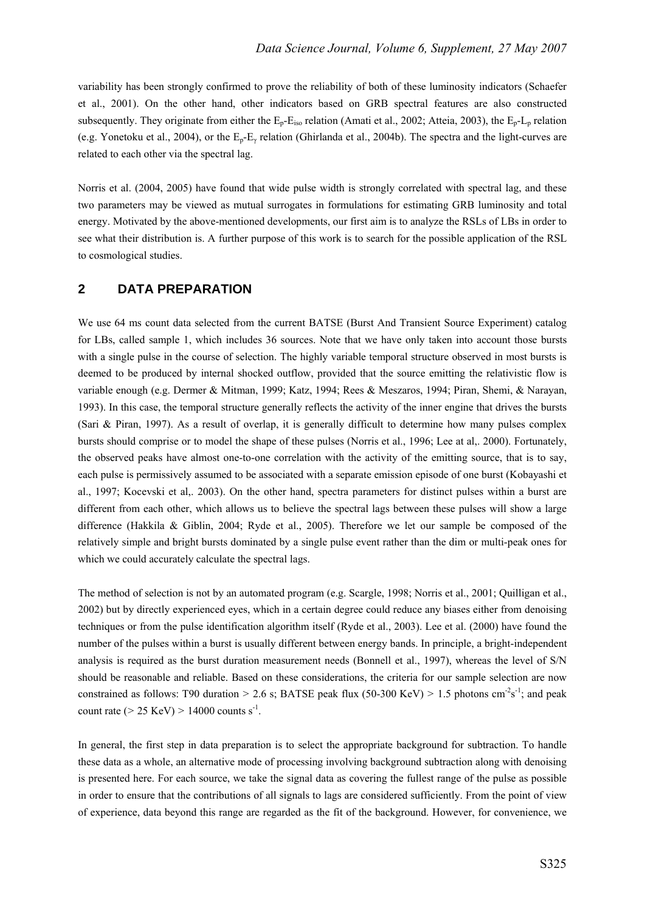variability has been strongly confirmed to prove the reliability of both of these luminosity indicators (Schaefer et al., 2001). On the other hand, other indicators based on GRB spectral features are also constructed subsequently. They originate from either the  $E_p-E_{iso}$  relation (Amati et al., 2002; Atteia, 2003), the  $E_p-L_p$  relation (e.g. Yonetoku et al., 2004), or the  $E_p-E_\gamma$  relation (Ghirlanda et al., 2004b). The spectra and the light-curves are related to each other via the spectral lag.

Norris et al. (2004, 2005) have found that wide pulse width is strongly correlated with spectral lag, and these two parameters may be viewed as mutual surrogates in formulations for estimating GRB luminosity and total energy. Motivated by the above-mentioned developments, our first aim is to analyze the RSLs of LBs in order to see what their distribution is. A further purpose of this work is to search for the possible application of the RSL to cosmological studies.

### **2 DATA PREPARATION**

We use 64 ms count data selected from the current BATSE (Burst And Transient Source Experiment) catalog for LBs, called sample 1, which includes 36 sources. Note that we have only taken into account those bursts with a single pulse in the course of selection. The highly variable temporal structure observed in most bursts is deemed to be produced by internal shocked outflow, provided that the source emitting the relativistic flow is variable enough (e.g. Dermer & Mitman, 1999; Katz, 1994; Rees & Meszaros, 1994; Piran, Shemi, & Narayan, 1993). In this case, the temporal structure generally reflects the activity of the inner engine that drives the bursts (Sari & Piran, 1997). As a result of overlap, it is generally difficult to determine how many pulses complex bursts should comprise or to model the shape of these pulses (Norris et al., 1996; Lee at al,. 2000). Fortunately, the observed peaks have almost one-to-one correlation with the activity of the emitting source, that is to say, each pulse is permissively assumed to be associated with a separate emission episode of one burst (Kobayashi et al., 1997; Kocevski et al,. 2003). On the other hand, spectra parameters for distinct pulses within a burst are different from each other, which allows us to believe the spectral lags between these pulses will show a large difference (Hakkila & Giblin, 2004; Ryde et al., 2005). Therefore we let our sample be composed of the relatively simple and bright bursts dominated by a single pulse event rather than the dim or multi-peak ones for which we could accurately calculate the spectral lags.

The method of selection is not by an automated program (e.g. Scargle, 1998; Norris et al., 2001; Quilligan et al., 2002) but by directly experienced eyes, which in a certain degree could reduce any biases either from denoising techniques or from the pulse identification algorithm itself (Ryde et al., 2003). Lee et al. (2000) have found the number of the pulses within a burst is usually different between energy bands. In principle, a bright-independent analysis is required as the burst duration measurement needs (Bonnell et al., 1997), whereas the level of S/N should be reasonable and reliable. Based on these considerations, the criteria for our sample selection are now constrained as follows: T90 duration  $> 2.6$  s; BATSE peak flux (50-300 KeV)  $> 1.5$  photons cm<sup>-2</sup>s<sup>-1</sup>; and peak count rate ( $> 25 \text{ KeV}$ )  $> 14000 \text{ counts s}^{-1}$ .

In general, the first step in data preparation is to select the appropriate background for subtraction. To handle these data as a whole, an alternative mode of processing involving background subtraction along with denoising is presented here. For each source, we take the signal data as covering the fullest range of the pulse as possible in order to ensure that the contributions of all signals to lags are considered sufficiently. From the point of view of experience, data beyond this range are regarded as the fit of the background. However, for convenience, we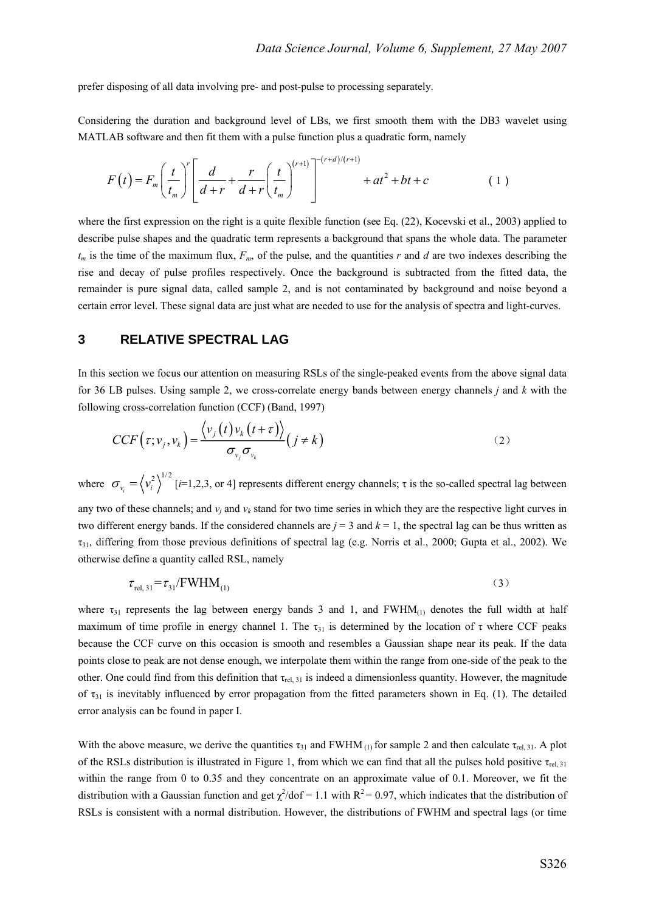prefer disposing of all data involving pre- and post-pulse to processing separately.

Considering the duration and background level of LBs, we first smooth them with the DB3 wavelet using MATLAB software and then fit them with a pulse function plus a quadratic form, namely

$$
F(t) = F_m \left(\frac{t}{t_m}\right)^r \left[\frac{d}{d+r} + \frac{r}{d+r} \left(\frac{t}{t_m}\right)^{(r+1)}\right]^{-(r+d)/(r+1)} + at^2 + bt + c \tag{1}
$$

where the first expression on the right is a quite flexible function (see Eq. (22), Kocevski et al., 2003) applied to describe pulse shapes and the quadratic term represents a background that spans the whole data. The parameter *tm* is the time of the maximum flux, *Fm*, of the pulse, and the quantities *r* and *d* are two indexes describing the rise and decay of pulse profiles respectively. Once the background is subtracted from the fitted data, the remainder is pure signal data, called sample 2, and is not contaminated by background and noise beyond a certain error level. These signal data are just what are needed to use for the analysis of spectra and light-curves.

### **3 RELATIVE SPECTRAL LAG**

In this section we focus our attention on measuring RSLs of the single-peaked events from the above signal data for 36 LB pulses. Using sample 2, we cross-correlate energy bands between energy channels *j* and *k* with the following cross-correlation function (CCF) (Band, 1997)

$$
CCF(\tau; \nu_j, \nu_k) = \frac{\langle \nu_j(t) \nu_k(t+\tau) \rangle}{\sigma_{\nu_j} \sigma_{\nu_k}} (j \neq k)
$$
 (2)

where  $\sigma_{v_i} = \langle v_i^2 \rangle^{1/2}$  [*i*=1,2,3, or 4] represents different energy channels;  $\tau$  is the so-called spectral lag between any two of these channels; and  $v_i$  and  $v_k$  stand for two time series in which they are the respective light curves in two different energy bands. If the considered channels are  $j = 3$  and  $k = 1$ , the spectral lag can be thus written as  $\tau_{31}$ , differing from those previous definitions of spectral lag (e.g. Norris et al., 2000; Gupta et al., 2002). We otherwise define a quantity called RSL, namely

$$
\tau_{\text{rel, 31}} = \tau_{31} / \text{FWHM}_{(1)} \tag{3}
$$

where  $\tau_{31}$  represents the lag between energy bands 3 and 1, and FWHM(1) denotes the full width at half maximum of time profile in energy channel 1. The  $\tau_{31}$  is determined by the location of  $\tau$  where CCF peaks because the CCF curve on this occasion is smooth and resembles a Gaussian shape near its peak. If the data points close to peak are not dense enough, we interpolate them within the range from one-side of the peak to the other. One could find from this definition that  $\tau_{rel, 31}$  is indeed a dimensionless quantity. However, the magnitude of  $\tau_{31}$  is inevitably influenced by error propagation from the fitted parameters shown in Eq. (1). The detailed error analysis can be found in paper I.

With the above measure, we derive the quantities  $\tau_{31}$  and FWHM (1) for sample 2 and then calculate  $\tau_{rel, 31}$ . A plot of the RSLs distribution is illustrated in Figure 1, from which we can find that all the pulses hold positive  $\tau_{rel, 31}$ within the range from 0 to 0.35 and they concentrate on an approximate value of 0.1. Moreover, we fit the distribution with a Gaussian function and get  $\chi^2$ /dof = 1.1 with R<sup>2</sup> = 0.97, which indicates that the distribution of RSLs is consistent with a normal distribution. However, the distributions of FWHM and spectral lags (or time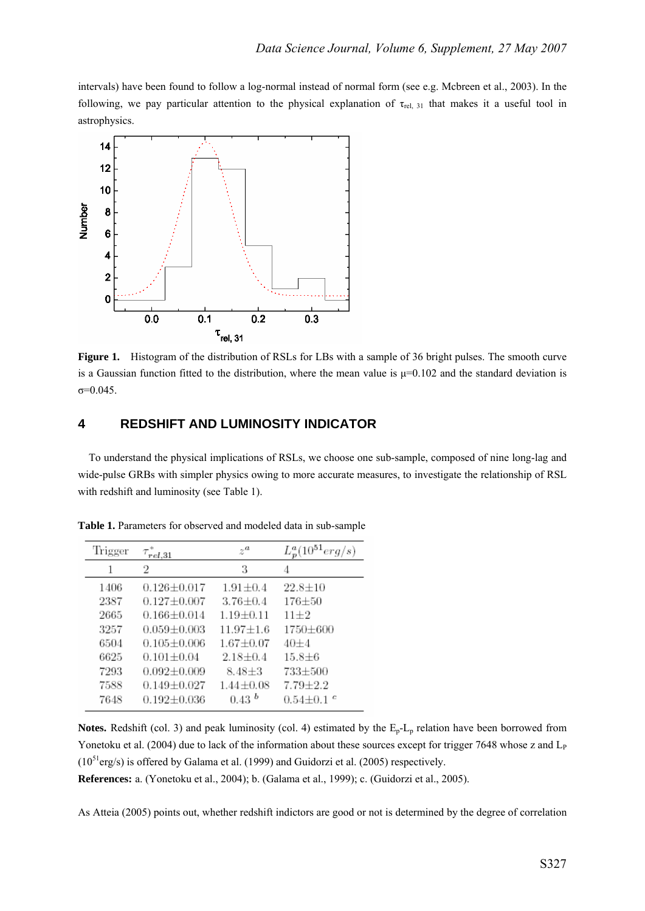intervals) have been found to follow a log-normal instead of normal form (see e.g. Mcbreen et al., 2003). In the following, we pay particular attention to the physical explanation of  $\tau_{rel, 31}$  that makes it a useful tool in astrophysics.



**Figure 1.** Histogram of the distribution of RSLs for LBs with a sample of 36 bright pulses. The smooth curve is a Gaussian function fitted to the distribution, where the mean value is  $\mu=0.102$  and the standard deviation is σ=0.045.

#### **4 REDSHIFT AND LUMINOSITY INDICATOR**

To understand the physical implications of RSLs, we choose one sub-sample, composed of nine long-lag and wide-pulse GRBs with simpler physics owing to more accurate measures, to investigate the relationship of RSL with redshift and luminosity (see Table 1).

| Trigger | rel.31            | $z^a$         | $L_p^a(10^{51}$ |
|---------|-------------------|---------------|-----------------|
| 1       | 2                 | 3             | 4               |
| 1406    | $0.126 + 0.017$   | $1.91 + 0.4$  | $22.8 \pm 10$   |
| 2387    | $0.127 + 0.007$   | $3.76 + 0.4$  | $176 + 50$      |
| 2665    | $0.166 + 0.014$   | $1.19 + 0.11$ | $11 + 2$        |
| 3257    | $0.059 + 0.003$   | $11.97 + 1.6$ | 1750+600        |
| 6504    | $0.105 + 0.006$   | $1.67 + 0.07$ | 40+4            |
| 6625    | $0.101 + 0.04$    | $2.18 + 0.4$  | $15.8 + 6$      |
| 7293    | $0.092 + 0.009$   | $8.48 + 3$    | 733±500         |
| 7588    | $0.149 \pm 0.027$ | $1.44 + 0.08$ | $7.79 + 2.2$    |
| 7648    | $0.192 + 0.036$   | 0.43 h        | $0.54 + 0.1$    |

**Table 1.** Parameters for observed and modeled data in sub-sample

**Notes.** Redshift (col. 3) and peak luminosity (col. 4) estimated by the  $E_p - L_p$  relation have been borrowed from Yonetoku et al. (2004) due to lack of the information about these sources except for trigger 7648 whose z and L<sub>P</sub>  $(10^{51}$ erg/s) is offered by Galama et al. (1999) and Guidorzi et al. (2005) respectively.

**References:** a. (Yonetoku et al., 2004); b. (Galama et al., 1999); c. (Guidorzi et al., 2005).

As Atteia (2005) points out, whether redshift indictors are good or not is determined by the degree of correlation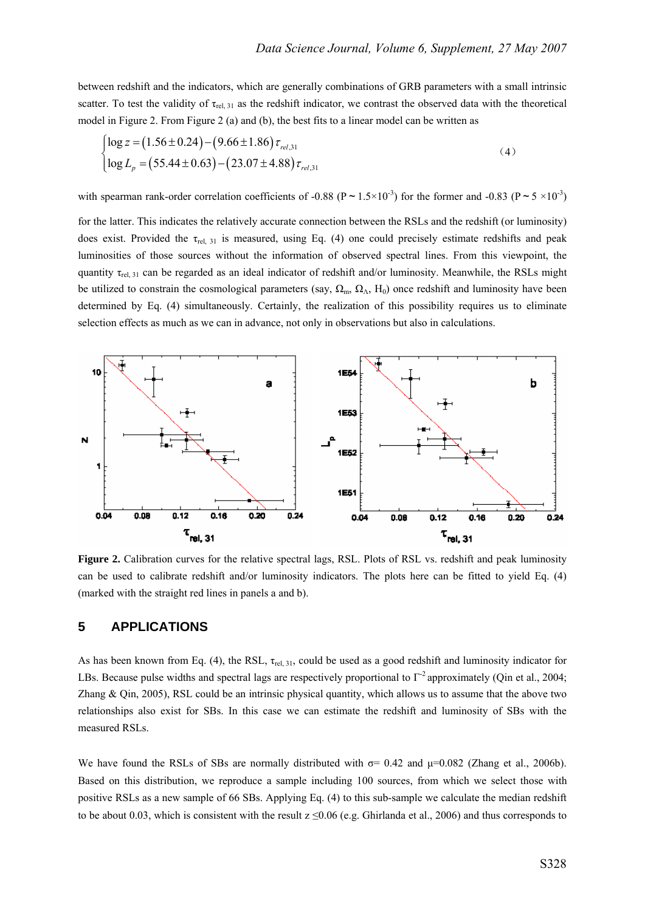between redshift and the indicators, which are generally combinations of GRB parameters with a small intrinsic scatter. To test the validity of  $\tau_{rel, 31}$  as the redshift indicator, we contrast the observed data with the theoretical model in Figure 2. From Figure 2 (a) and (b), the best fits to a linear model can be written as

$$
\begin{cases}\n\log z = (1.56 \pm 0.24) - (9.66 \pm 1.86) \tau_{rel,31} \\
\log L_p = (55.44 \pm 0.63) - (23.07 \pm 4.88) \tau_{rel,31}\n\end{cases}
$$
\n(4)

with spearman rank-order correlation coefficients of -0.88 ( $P \sim 1.5 \times 10^{-3}$ ) for the former and -0.83 ( $P \sim 5 \times 10^{-3}$ )

for the latter. This indicates the relatively accurate connection between the RSLs and the redshift (or luminosity) does exist. Provided the  $\tau_{rel, 31}$  is measured, using Eq. (4) one could precisely estimate redshifts and peak luminosities of those sources without the information of observed spectral lines. From this viewpoint, the quantity  $\tau_{rel, 31}$  can be regarded as an ideal indicator of redshift and/or luminosity. Meanwhile, the RSLs might be utilized to constrain the cosmological parameters (say,  $\Omega_m$ ,  $\Omega_\Lambda$ , H<sub>0</sub>) once redshift and luminosity have been determined by Eq. (4) simultaneously. Certainly, the realization of this possibility requires us to eliminate selection effects as much as we can in advance, not only in observations but also in calculations.



Figure 2. Calibration curves for the relative spectral lags, RSL. Plots of RSL vs. redshift and peak luminosity can be used to calibrate redshift and/or luminosity indicators. The plots here can be fitted to yield Eq. (4) (marked with the straight red lines in panels a and b).

#### **5 APPLICATIONS**

As has been known from Eq. (4), the RSL,  $\tau_{rel, 31}$ , could be used as a good redshift and luminosity indicator for LBs. Because pulse widths and spectral lags are respectively proportional to Γ-2 approximately (Qin et al., 2004; Zhang  $\&$  Qin, 2005), RSL could be an intrinsic physical quantity, which allows us to assume that the above two relationships also exist for SBs. In this case we can estimate the redshift and luminosity of SBs with the measured RSLs.

We have found the RSLs of SBs are normally distributed with  $\sigma$ = 0.42 and  $\mu$ =0.082 (Zhang et al., 2006b). Based on this distribution, we reproduce a sample including 100 sources, from which we select those with positive RSLs as a new sample of 66 SBs. Applying Eq. (4) to this sub-sample we calculate the median redshift to be about 0.03, which is consistent with the result  $z \le 0.06$  (e.g. Ghirlanda et al., 2006) and thus corresponds to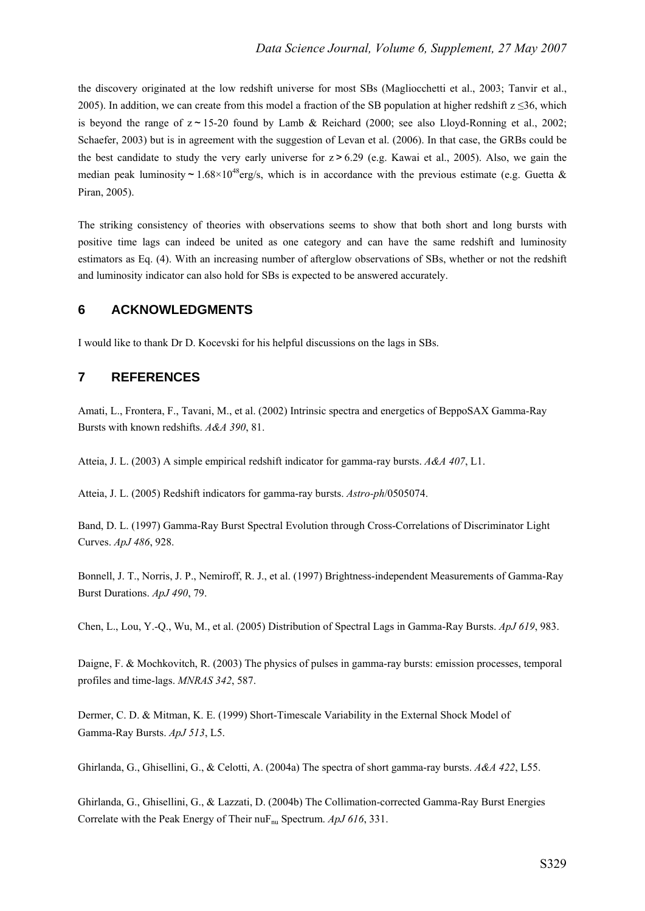the discovery originated at the low redshift universe for most SBs (Magliocchetti et al., 2003; Tanvir et al., 2005). In addition, we can create from this model a fraction of the SB population at higher redshift  $z \le 36$ , which is beyond the range of  $z \sim 15{\text -}20$  found by Lamb & Reichard (2000; see also Lloyd-Ronning et al., 2002; Schaefer, 2003) but is in agreement with the suggestion of Levan et al. (2006). In that case, the GRBs could be the best candidate to study the very early universe for z>6.29 (e.g. Kawai et al., 2005). Also, we gain the median peak luminosity ~  $1.68 \times 10^{48}$  erg/s, which is in accordance with the previous estimate (e.g. Guetta & Piran, 2005).

The striking consistency of theories with observations seems to show that both short and long bursts with positive time lags can indeed be united as one category and can have the same redshift and luminosity estimators as Eq. (4). With an increasing number of afterglow observations of SBs, whether or not the redshift and luminosity indicator can also hold for SBs is expected to be answered accurately.

#### **6 ACKNOWLEDGMENTS**

I would like to thank Dr D. Kocevski for his helpful discussions on the lags in SBs.

# **7 REFERENCES**

Amati, L., Frontera, F., Tavani, M., et al. (2002) Intrinsic spectra and energetics of BeppoSAX Gamma-Ray Bursts with known redshifts. *A&A 390*, 81.

Atteia, J. L. (2003) A simple empirical redshift indicator for gamma-ray bursts. *A&A 407*, L1.

Atteia, J. L. (2005) Redshift indicators for gamma-ray bursts. *Astro-ph*/0505074.

Band, D. L. (1997) Gamma-Ray Burst Spectral Evolution through Cross-Correlations of Discriminator Light Curves. *ApJ 486*, 928.

Bonnell, J. T., Norris, J. P., Nemiroff, R. J., et al. (1997) Brightness-independent Measurements of Gamma-Ray Burst Durations. *ApJ 490*, 79.

Chen, L., Lou, Y.-Q., Wu, M., et al. (2005) Distribution of Spectral Lags in Gamma-Ray Bursts. *ApJ 619*, 983.

Daigne, F. & Mochkovitch, R. (2003) The physics of pulses in gamma-ray bursts: emission processes, temporal profiles and time-lags. *MNRAS 342*, 587.

Dermer, C. D. & Mitman, K. E. (1999) Short-Timescale Variability in the External Shock Model of Gamma-Ray Bursts. *ApJ 513*, L5.

Ghirlanda, G., Ghisellini, G., & Celotti, A. (2004a) The spectra of short gamma-ray bursts. *A&A 422*, L55.

Ghirlanda, G., Ghisellini, G., & Lazzati, D. (2004b) The Collimation-corrected Gamma-Ray Burst Energies Correlate with the Peak Energy of Their nuF<sub>nu</sub> Spectrum. *ApJ* 616, 331.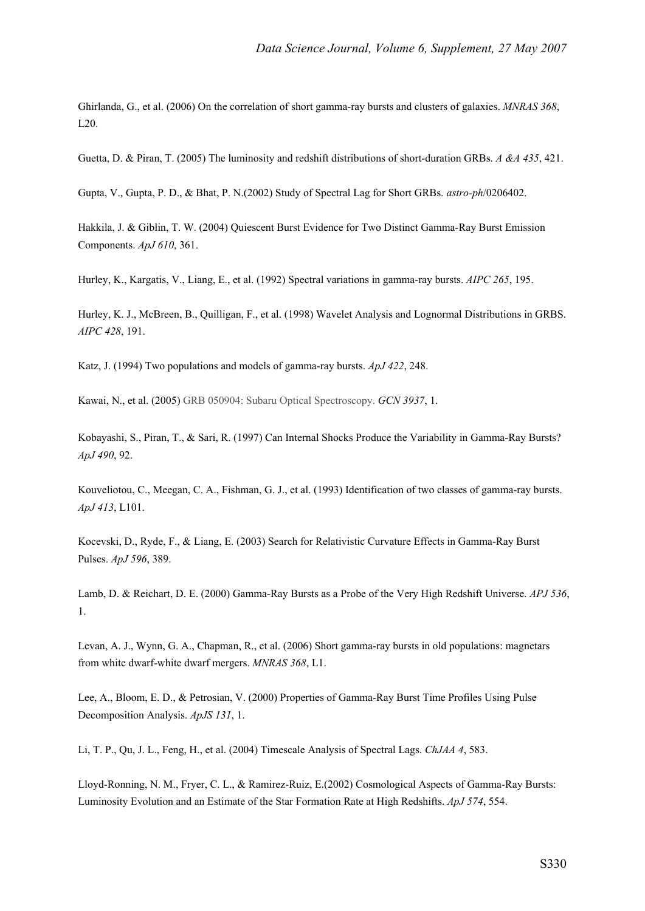Ghirlanda, G., et al. (2006) On the correlation of short gamma-ray bursts and clusters of galaxies. *MNRAS 368*, L20.

Guetta, D. & Piran, T. (2005) The luminosity and redshift distributions of short-duration GRBs. *A &A 435*, 421.

Gupta, V., Gupta, P. D., & Bhat, P. N.(2002) Study of Spectral Lag for Short GRBs. *astro-ph*/0206402.

Hakkila, J. & Giblin, T. W. (2004) Quiescent Burst Evidence for Two Distinct Gamma-Ray Burst Emission Components. *ApJ 610*, 361.

Hurley, K., Kargatis, V., Liang, E., et al. (1992) Spectral variations in gamma-ray bursts. *AIPC 265*, 195.

Hurley, K. J., McBreen, B., Quilligan, F., et al. (1998) Wavelet Analysis and Lognormal Distributions in GRBS. *AIPC 428*, 191.

Katz, J. (1994) Two populations and models of gamma-ray bursts. *ApJ 422*, 248.

Kawai, N., et al. (2005) GRB 050904: Subaru Optical Spectroscopy. *GCN 3937*, 1.

Kobayashi, S., Piran, T., & Sari, R. (1997) Can Internal Shocks Produce the Variability in Gamma-Ray Bursts? *ApJ 490*, 92.

Kouveliotou, C., Meegan, C. A., Fishman, G. J., et al. (1993) Identification of two classes of gamma-ray bursts. *ApJ 413*, L101.

Kocevski, D., Ryde, F., & Liang, E. (2003) Search for Relativistic Curvature Effects in Gamma-Ray Burst Pulses. *ApJ 596*, 389.

Lamb, D. & Reichart, D. E. (2000) Gamma-Ray Bursts as a Probe of the Very High Redshift Universe. *APJ 536*, 1.

Levan, A. J., Wynn, G. A., Chapman, R., et al. (2006) Short gamma-ray bursts in old populations: magnetars from white dwarf-white dwarf mergers. *MNRAS 368*, L1.

Lee, A., Bloom, E. D., & Petrosian, V. (2000) Properties of Gamma-Ray Burst Time Profiles Using Pulse Decomposition Analysis. *ApJS 131*, 1.

Li, T. P., Qu, J. L., Feng, H., et al. (2004) Timescale Analysis of Spectral Lags. *ChJAA 4*, 583.

Lloyd-Ronning, N. M., Fryer, C. L., & Ramirez-Ruiz, E.(2002) Cosmological Aspects of Gamma-Ray Bursts: Luminosity Evolution and an Estimate of the Star Formation Rate at High Redshifts. *ApJ 574*, 554.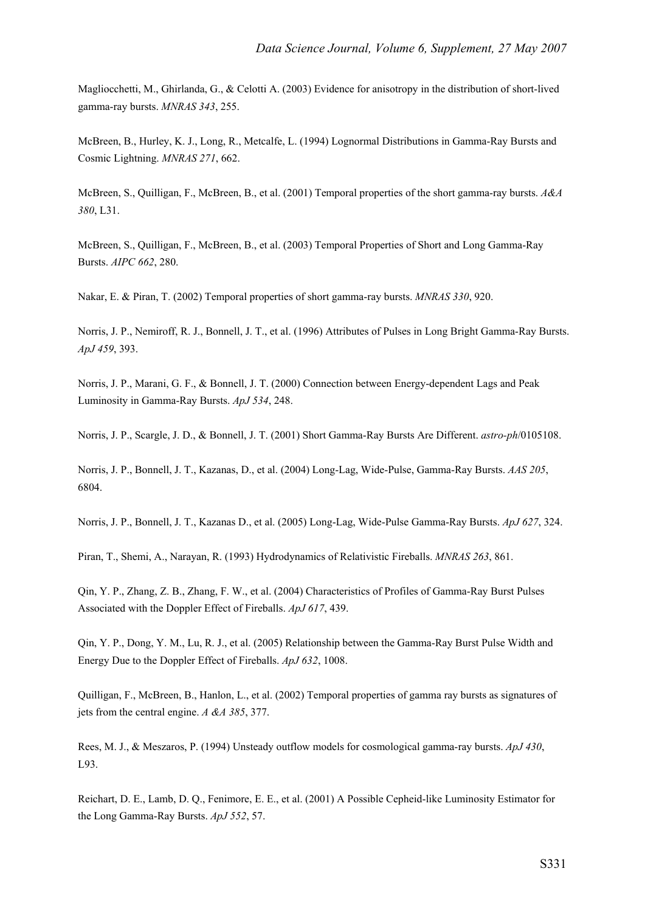Magliocchetti, M., Ghirlanda, G., & Celotti A. (2003) Evidence for anisotropy in the distribution of short-lived gamma-ray bursts. *MNRAS 343*, 255.

McBreen, B., Hurley, K. J., Long, R., Metcalfe, L. (1994) Lognormal Distributions in Gamma-Ray Bursts and Cosmic Lightning. *MNRAS 271*, 662.

McBreen, S., Quilligan, F., McBreen, B., et al. (2001) Temporal properties of the short gamma-ray bursts. *A&A 380*, L31.

McBreen, S., Quilligan, F., McBreen, B., et al. (2003) Temporal Properties of Short and Long Gamma-Ray Bursts. *AIPC 662*, 280.

Nakar, E. & Piran, T. (2002) Temporal properties of short gamma-ray bursts. *MNRAS 330*, 920.

Norris, J. P., Nemiroff, R. J., Bonnell, J. T., et al. (1996) Attributes of Pulses in Long Bright Gamma-Ray Bursts. *ApJ 459*, 393.

Norris, J. P., Marani, G. F., & Bonnell, J. T. (2000) Connection between Energy-dependent Lags and Peak Luminosity in Gamma-Ray Bursts. *ApJ 534*, 248.

Norris, J. P., Scargle, J. D., & Bonnell, J. T. (2001) Short Gamma-Ray Bursts Are Different. *astro-ph*/0105108.

Norris, J. P., Bonnell, J. T., Kazanas, D., et al. (2004) Long-Lag, Wide-Pulse, Gamma-Ray Bursts. *AAS 205*, 6804.

Norris, J. P., Bonnell, J. T., Kazanas D., et al. (2005) Long-Lag, Wide-Pulse Gamma-Ray Bursts. *ApJ 627*, 324.

Piran, T., Shemi, A., Narayan, R. (1993) Hydrodynamics of Relativistic Fireballs. *MNRAS 263*, 861.

Qin, Y. P., Zhang, Z. B., Zhang, F. W., et al. (2004) Characteristics of Profiles of Gamma-Ray Burst Pulses Associated with the Doppler Effect of Fireballs. *ApJ 617*, 439.

Qin, Y. P., Dong, Y. M., Lu, R. J., et al. (2005) Relationship between the Gamma-Ray Burst Pulse Width and Energy Due to the Doppler Effect of Fireballs. *ApJ 632*, 1008.

Quilligan, F., McBreen, B., Hanlon, L., et al. (2002) Temporal properties of gamma ray bursts as signatures of jets from the central engine. *A &A 385*, 377.

Rees, M. J., & Meszaros, P. (1994) Unsteady outflow models for cosmological gamma-ray bursts. *ApJ 430*, L93.

Reichart, D. E., Lamb, D. Q., Fenimore, E. E., et al. (2001) A Possible Cepheid-like Luminosity Estimator for the Long Gamma-Ray Bursts. *ApJ 552*, 57.